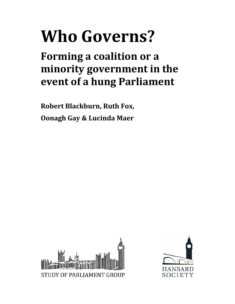# **Who Governs?**

**Forming a coalition or a minority government in the event of a hung Parliament**

**Robert Blackburn, Ruth Fox, Oonagh Gay & Lucinda Maer**



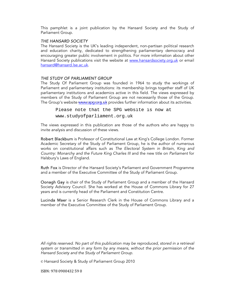This pamphlet is a joint publication by the Hansard Society and the Study of Parliament Group.

#### THE HANSARD SOCIETY

The Hansard Society is the UK's leading independent, non-partisan political research and education charity, dedicated to strengthening parliamentary democracy and encouraging greater public involvement in politics. For more information about other Hansard Society publications visit the website at www.hansardsociety.org.uk or email hansard@hansard.lse.ac.uk.

#### THE STUDY OF PARLIAMENT GROUP

The Study Of Parliament Group was founded in 1964 to study the workings of Parliament and parliamentary institutions: its membership brings together staff of UK parliamentary institutions and academics active in this field. The views expressed by members of the Study of Parliament Group are not necessarily those of the Group.

The Group's website www.spg.org.uk provides further information about its activities.<br>
Please note that the SPG website is now at<br>
www.studyofparliament.org.uk Please note that the SPG website is now at

The views expressed in this publication are those of the authors who are happy to invite analysis and discussion of these views.

Robert Blackburn is Professor of Constitutional Law at King's College London. Former Academic Secretary of the Study of Parliament Group, he is the author of numerous works on constitutional affairs such as The Electoral System in Britain, King and Country: Monarchy and the Future King Charles III and the new title on Parliament for Halsbury's Laws of England.

Ruth Fox is Director of the Hansard Society's Parliament and Government Programme and a member of the Executive Committee of the Study of Parliament Group.

Oonagh Gay is chair of the Study of Parliament Group and a member of the Hansard Society Advisory Council. She has worked at the House of Commons Library for 27 years and is currently head of the Parliament and Constitution Centre.

Lucinda Maer is a Senior Research Clerk in the House of Commons Library and a member of the Executive Committee of the Study of Parliament Group.

All rights reserved. No part of this publication may be reproduced, stored in a retrieval system or transmitted in any form by any means, without the prior permission of the Hansard Society and the Study of Parliament Group.

© Hansard Society & Study of Parliament Group 2010

ISBN: 978 0900432 59 0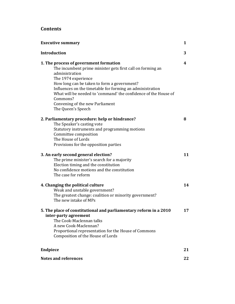# **Contents**

| <b>Executive summary</b>                                                                                                                                                                                                                                                                                                                                                                          | 1  |
|---------------------------------------------------------------------------------------------------------------------------------------------------------------------------------------------------------------------------------------------------------------------------------------------------------------------------------------------------------------------------------------------------|----|
| <b>Introduction</b>                                                                                                                                                                                                                                                                                                                                                                               | 3  |
| 1. The process of government formation<br>The incumbent prime minister gets first call on forming an<br>administration<br>The 1974 experience<br>How long can be taken to form a government?<br>Influences on the timetable for forming an administration<br>What will be needed to 'command' the confidence of the House of<br>Commons?<br>Convening of the new Parliament<br>The Queen's Speech | 4  |
| 2. Parliamentary procedure: help or hindrance?<br>The Speaker's casting vote<br>Statutory instruments and programming motions<br>Committee composition<br>The House of Lords<br>Provisions for the opposition parties                                                                                                                                                                             | 8  |
| 3. An early second general election?<br>The prime minister's search for a majority<br>Election timing and the constitution<br>No confidence motions and the constitution<br>The case for reform                                                                                                                                                                                                   | 11 |
| 4. Changing the political culture<br>Weak and unstable government?<br>The greatest change: coalition or minority government?<br>The new intake of MPs                                                                                                                                                                                                                                             | 14 |
| 5. The place of constitutional and parliamentary reform in a 2010<br>inter-party agreement<br>The Cook-Maclennan talks<br>A new Cook-Maclennan?<br>Proportional representation for the House of Commons<br>Composition of the House of Lords                                                                                                                                                      | 17 |
| <b>Endpiece</b>                                                                                                                                                                                                                                                                                                                                                                                   | 21 |
| <b>Notes and references</b>                                                                                                                                                                                                                                                                                                                                                                       | 22 |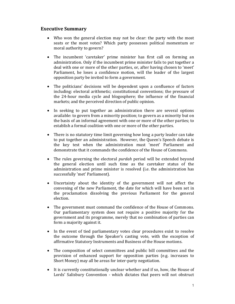# **Executive Summary**

- Who won the general election may not be clear: the party with the most seats or the most votes? Which party possesses political momentum or moral authority to govern?
- The incumbent 'caretaker' prime minister has first call on forming an administration. Only if the incumbent prime minister fails to put together a deal with one or more of the other parties, or, after having chosen to 'meet' Parliament, he loses a confidence motion, will the leader of the largest opposition party be invited to form a government.
- The politicians' decisions will be dependent upon a confluence of factors including: electoral arithmetic; constitutional conventions; the pressure of the 24‐hour media cycle and blogosphere; the influence of the financial markets; and the perceived direction of public opinion.
- In seeking to put together an administration there are several options available: to govern from a minority position; to govern as a minority but on the basis of an informal agreement with one or more of the other parties; to establish a formal coalition with one or more of the other parties.
- There is no statutory time limit governing how long a party leader can take to put together an administration. However, the Queen's Speech debate is the key test when the administration must 'meet' Parliament and demonstrate that it commands the confidence of the House of Commons.
- The rules governing the electoral *purdah* period will be extended beyond the general election until such time as the caretaker status of the administration and prime minister is resolved (i.e. the administration has successfully 'met' Parliament).
- Uncertainty about the identity of the government will not affect the convening of the new Parliament, the date for which will have been set in the proclamation dissolving the previous Parliament for the general election.
- The government must command the confidence of the House of Commons. Our parliamentary system does not require a positive majority for the government and its programme, merely that no combination of parties can form a majority against it.
- In the event of tied parliamentary votes clear procedures exist to resolve the outcome through the Speaker's casting vote, with the exception of affirmative Statutory Instruments and Business of the House motions.
- The composition of select committees and public bill committees and the provision of enhanced support for opposition parties (e.g. increases to Short Money) may all be areas for inter-party negotiation.
- It is currently constitutionally unclear whether and if so, how, the House of Lords' Salisbury Convention - which dictates that peers will not obstruct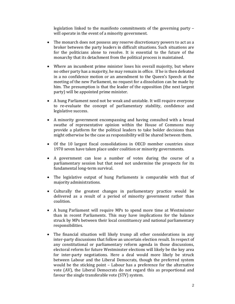legislation linked to the manifesto commitments of the governing party – will operate in the event of a minority government.

- The monarch does not possess any reserve discretionary powers to act as a broker between the party leaders in difficult situations. Such situations are for the politicians alone to resolve. It is essential to the future of the monarchy that its detachment from the political process is maintained.
- Where an incumbent prime minister loses his overall majority, but where no other party has a majority, he may remain in office. If he is then defeated in a no confidence motion or an amendment to the Queen's Speech at the meeting of the new Parliament, no request for a dissolution can be made by him. The presumption is that the leader of the opposition (the next largest party) will be appointed prime minister.
- A hung Parliament need not be weak and unstable. It will require everyone to re‐evaluate the concept of parliamentary stability, confidence and legislative success.
- A minority government encompassing and having consulted with a broad swathe of representative opinion within the House of Commons may provide a platform for the political leaders to take bolder decisions than might otherwise be the case as responsibility will be shared between them.
- Of the 10 largest fiscal consolidations in OECD member countries since 1970 seven have taken place under coalition or minority governments.
- A government can lose a number of votes during the course of a parliamentary session but that need not undermine the prospects for its fundamental long‐term survival.
- The legislative output of hung Parliaments is comparable with that of majority administrations.
- Culturally the greatest changes in parliamentary practice would be delivered as a result of a period of minority government rather than coalition.
- A hung Parliament will require MPs to spend more time at Westminster than in recent Parliaments. This may have implications for the balance struck by MPs between their local constituency and national parliamentary responsibilities.
- The financial situation will likely trump all other considerations in any inter-party discussions that follow an uncertain election result. In respect of any constitutional or parliamentary reform agenda in those discussions, electoral reform for future Westminster elections will likely be the key area for inter-party negotiations. Here a deal would more likely be struck between Labour and the Liberal Democrats, though the preferred system would be the sticking point – Labour has a preference for the alternative vote (AV), the Liberal Democrats do not regard this as proportional and favour the single transferable vote (STV) system.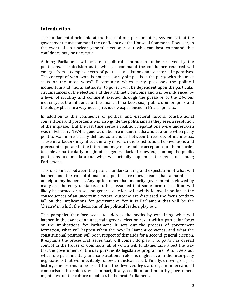# **Introduction**

The fundamental principle at the heart of our parliamentary system is that the government must command the confidence of the House of Commons. However, in the event of an unclear general election result who can best command that confidence may be uncertain.

A hung Parliament will create a political conundrum to be resolved by the politicians. The decision as to who can command the confidence required will emerge from a complex nexus of political calculations and electoral imperatives. The concept of who 'won' is not necessarily simple. Is it the party with the most seats or the most votes? Determining which party possesses the political momentum and 'moral authority' to govern will be dependent upon the particular circumstances of the election and the arithmetic outcome and will be influenced by a level of scrutiny and comment exerted through the pressure of the 24‐hour media cycle, the influence of the financial markets, snap public opinion polls and the blogosphere in a way never previously experienced in British politics.

In addition to this confluence of political and electoral factors, constitutional conventions and precedents will also guide the politicians as they seek a resolution of the impasse. But the last time serious coalition negotiations were undertaken was in February 1974, a generation before instant media and at a time when party politics was more clearly defined as a choice between three sets of manifestos. These new factors may affect the way in which the constitutional conventions and precedents operate in the future and may make public acceptance of them harder to achieve, particularly in light of the general lack of knowledge among the public, politicians and media about what will actually happen in the event of a hung Parliament.

This disconnect between the public's understanding and expectation of what will happen and the constitutional and political realities means that a number of unhelpful myths persist. Any option other than majority government is viewed by many as inherently unstable, and it is assumed that some form of coalition will likely be formed or a second general election will swiftly follow. In so far as the consequences of an uncertain electoral outcome are discussed, the focus tends to fall on the implications for government. Yet it is Parliament that will be the 'theatre' in which the decisions of the political leaders play out.

This pamphlet therefore seeks to address the myths by explaining what will happen in the event of an uncertain general election result with a particular focus on the implications for Parliament. It sets out the process of government formation, what will happen when the new Parliament convenes, and what the constitutional position will be in respect of demands for a second general election. It explains the procedural issues that will come into play if no party has overall control in the House of Commons, all of which will fundamentally affect the way that the government of the day pursues its legislative programme. And it sets out what role parliamentary and constitutional reforms might have in the inter-party negotiations that will inevitably follow an unclear result. Finally, drawing on past history, the lessons to be learnt from the devolved legislatures, and international comparisons it explores what impact, if any, coalition and minority government might have on the culture of politics in the next Parliament.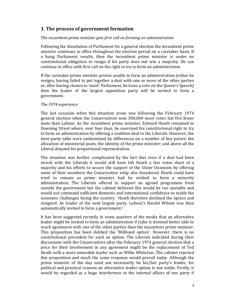# **1. The process of government formation**

## *The incumbent prime minister gets first call on forming an administration*

Following the dissolution of Parliament for a general election the incumbent prime minister continues in office throughout the election period on a caretaker basis. If a hung Parliament results, then the incumbent prime minister is under no constitutional obligation to resign if his party does not win a majority. He can continue in office with first call on the right to try to form an administration.

If the caretaker prime minister proves unable to form an administration (either he resigns, having failed to put together a deal with one or more of the other parties or, after having chosen to 'meet' Parliament, he loses a vote on the Queen's Speech) then the leader of the largest opposition party will be invited to form a government.

## *The 1974 experience*

The last occasion when this situation arose was following the February 1974 general election when the Conservatives won 300,000 more votes but five fewer seats than Labour. As the incumbent prime minister, Edward Heath remained in Downing Street where, over four days, he exercised his constitutional right to try to form an administration by offering a coalition deal to the Liberals. However, the inter‐party talks were undermined by differences on a number of key points: the allocation of ministerial posts; the identity of the prime minister; and above all the Liberal demand for proportional representation.

The situation was further complicated by the fact that even if a deal had been struck with the Liberals it would still have left Heath a few votes short of a majority and his efforts to secure the support of the Ulster Unionists by offering some of their members the Conservative whip also foundered. Heath could have tried to remain as prime minister had he wished to form a minority administration. The Liberals offered to support an agreed programme from outside the government but the cabinet believed this would be too unstable and would not command sufficient domestic and international confidence to tackle the economic challenges facing the country. Heath therefore declined the option and resigned. As leader of the next largest party, Labour's Harold Wilson was then automatically invited to form a government. $1$ 

It has been suggested recently in some quarters of the media that an alternative leader might be invited to form an administration if (s)he is deemed better able to reach agreement with one of the other parties than the incumbent prime minister. This proposition has been dubbed the 'Miliband option'. However, there is no constitutional precedent for such an option. The Liberals indicated during their discussions with the Conservatives after the February 1974 general election that a price for their involvement in any agreement might be the replacement of Ted Heath with a more amenable leader such as Willie Whitelaw. The cabinet rejected this proposition and much the same response would prevail today. Although the prime minister of the day need not necessarily be his/her party's leader, for political and practical reasons an alternative leader option is not viable. Firstly, it would be regarded as a huge interference in the internal affairs of one party if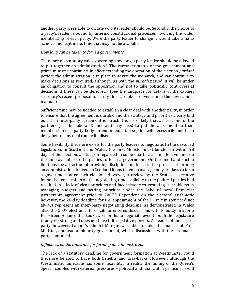another party were able to dictate who its leader should be. Secondly, the choice of a party's leader is bound by internal constitutional processes involving the wider membership of each party. Were the party leader to change it would take time to achieve and legitimate, time that may not be available.

## *How long can be taken to form a government?*

There are no statutory rules governing how long a party leader should be allowed to put together an administration.<sup>2</sup> The caretaker status of the government and prime minister continues, in effect extending the operation of the election *purdah*<sup>3</sup> period: the administration is in place to advise the monarch, and can continue to make decisions as required, although, as with the *purdah* period, it will be under an obligation to consult the opposition and not to take politically controversial decisions if these can be deferred.<sup>4</sup> (See the Endpiece for details of the cabinet secretary's recent proposal to clarify this caretaker convention in the new cabinet manual.)

Sufficient time may be needed to establish a clear deal with another party, in order to ensure that the agreement is durable and the strategy and priorities clearly laid out. If an inter-party agreement is struck it is also likely that at least one of the partners (i.e. the Liberal Democrats) may need to put the agreement to their membership or a party body for endorsement. If so, this will necessarily build in a delay before any deal can be finalised.

Some flexibility therefore exists for the party leaders to negotiate. In the devolved legislatures in Scotland and Wales, the First Minister must be chosen within 28 days of the election, a situation regarded in some quarters as an effective limit on the time available to the parties to form a government. On the one hand such a limit has the attraction of providing discipline and focus to the process of forming an administration. Indeed, in Scotland it has taken on average only 10 days to form a government after each election. However, a review by the Scottish executive found that constraints on the negotiating time available to the political parties had resulted in a lack of clear priorities and inconsistencies, resulting in problems in managing budgets and setting priorities under the Labour‐Liberal Democrat partnership agreement prior to 2007.5 Dependent on the electoral arithmetic however, the 28-day deadline for the appointment of the First Minister need not always represent an inter‐party negotiating deadline, as demonstrated in Wales after the 2007 elections. Here, Labour entered discussions with Plaid Cymru for a Red‐Green Alliance that took two months to negotiate even though the legislature is only 60 strong and does not have full legislative powers. As leader of the largest party however, Labour's Rhodri Morgan was able to take the mantle of First Minister, and lead a minority government, whilst discussions with the nationalist party continued.

# *Influences on the timetable for forming an administration*

The lack of a statutory deadline for government formation at Westminster could therefore be said to have both benefits and drawbacks. However, although the Westminster timetable has some flexibility, in reality the timing of the Queen's Speech coupled with external pressures – political and financial in particular ‐ will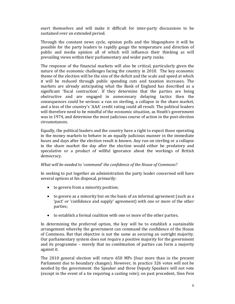exert themselves and will make it difficult for inter-party discussions to be sustained over an extended period.

Through the constant news cycle, opinion polls and the blogosphere it will be possible for the party leaders to rapidly gauge the temperature and direction of public and media opinion all of which will influence their thinking as will prevailing views within their parliamentary and wider party ranks.

The response of the financial markets will also be critical, particularly given the nature of the economic challenges facing the country in 2010. The key economic theme of the election will be the size of the deficit and the scale and speed at which it will be reduced through public spending cuts and taxation increases. The markets are already anticipating what the Bank of England has described as a significant 'fiscal contraction'. If they determine that the parties are being obstructive and are engaged in unnecessary delaying tactics then the consequences could be serious: a run on sterling, a collapse in the share market, and a loss of the country's 'AAA' credit rating could all result. The political leaders will therefore need to be mindful of the economic situation, as Heath's government was in 1974, and determine the most judicious course of action in the post-election circumstances.

Equally, the political leaders and the country have a right to expect those operating in the money markets to behave in an equally judicious manner in the immediate hours and days after the election result is known. Any run on sterling or a collapse in the share market the day after the election would either be predatory and speculative or a product of willful ignorance about the workings of British democracy.

# *What will be needed to 'command' the confidence of the House of Commons?*

In seeking to put together an administration the party leader concerned will have several options at his disposal, primarily:

- to govern from a minority position;
- to govern as a minority but on the basis of an informal agreement (such as a 'pact' or 'confidence and supply' agreement) with one or more of the other parties;
- to establish a formal coalition with one or more of the other parties.

In determining the preferred option, the key will be to establish a sustainable arrangement whereby the government can command the confidence of the House of Commons. But that objective is not the same as securing an outright majority. Our parliamentary system does not require a positive majority for the government and its programme – merely that no combination of parties can form a majority against it.

The 2010 general election will return 650 MPs (four more than in the present Parliament due to boundary changes). However, in practice 326 votes will not be needed by the government: the Speaker and three Deputy Speakers will not vote (except in the event of a tie requiring a casting vote); on past precedent, Sinn Fein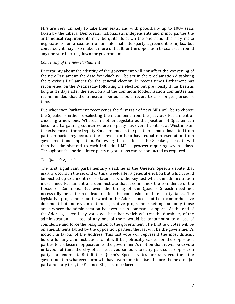MPs are very unlikely to take their seats; and with potentially up to  $100+$  seats taken by the Liberal Democrats, nationalists, independents and minor parties the arithmetical requirements may be quite fluid. On the one hand this may make negotiations for a coalition or an informal inter‐party agreement complex, but conversely it may also make it more difficult for the opposition to coalesce around any one vote to bring down the government.

## *Convening of the new Parliament*

Uncertainty about the identity of the government will not affect the convening of the new Parliament, the date for which will be set in the proclamation dissolving the previous Parliament for the general election. In recent times Parliament has reconvened on the Wednesday following the election but previously it has been as long as 12 days after the election and the Commons Modernisation Committee has recommended that the transition period should revert to this longer period of time.

But whenever Parliament reconvenes the first task of new MPs will be to choose the Speaker – either re-selecting the incumbent from the previous Parliament or choosing a new one. Whereas in other legislatures the position of Speaker can become a bargaining counter where no party has overall control, at Westminster the existence of three Deputy Speakers means the position is more insulated from partisan bartering, because the convention is to have equal representation from government and opposition. Following the election of the Speaker, the oath will then be administered to each individual MP, a process requiring several days. Throughout this period, inter‐party negotiations can be conducted as required.

#### *The Queen's Speech*

The first significant parliamentary deadline is the Queen's Speech debate that usually occurs in the second or third week after a general election but which could be pushed up to a month or so later. This is the key test when the administration must 'meet' Parliament and demonstrate that it commands the confidence of the House of Commons. But even the timing of the Queen's Speech need not necessarily be a formal deadline for the conclusion of inter-party talks. The legislative programme put forward in the Address need not be a comprehensive document but merely an outline legislative programme setting out only those areas where the administration believes it can command support. At the end of the Address, several key votes will be taken which will test the durability of the administration  $-$  a loss of any one of them would be tantamount to a loss of confidence and force the resignation of the government. The first few votes will be on amendments tabled by the opposition parties; the last will be the government's motion in favour of the Address. This last vote will represent the most difficult hurdle for any administration for it will be politically easier for the opposition parties to coalesce in opposition to the government's motion than it will be to vote in favour of (and thereby offer perceived support to) any particular opposition party's amendment. But if the Queen's Speech votes are survived then the government in whatever form will have won time for itself before the next major parliamentary test, the Finance Bill, has to be faced.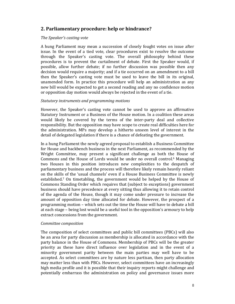# **2. Parliamentary procedure: help or hindrance?**

## *The Speaker's casting vote*

A hung Parliament may mean a succession of closely fought votes on issue after issue. In the event of a tied vote, clear procedures exist to resolve the outcome through the Speaker's casting vote. The overall philosophy behind these procedures is to prevent the curtailment of debate. First the Speaker would, if possible, allow further debate; if no further discussion was possible then any decision would require a majority; and if a tie occurred on an amendment to a bill then the Speaker's casting vote must be used to leave the bill in its original, unamended form. In practice this procedure will help an administration as any new bill would be expected to get a second reading and any no confidence motion or opposition day motion would always be rejected in the event of a tie.

# *Statutory instruments and programming motions*

However, the Speaker's casting vote cannot be used to approve an affirmative Statutory Instrument or a Business of the House motion. In a coalition these areas would likely be covered by the terms of the inter-party deal and collective responsibility. But the opposition may have scope to create real difficulties here for the administration. MPs may develop a hitherto unseen level of interest in the detail of delegated legislation if there is a chance of defeating the government.

In a hung Parliament the newly agreed proposal to establish a Business Committee for House and backbench business in the next Parliament, as recommended by the Wright Committee, may present a significant challenge as both the House of Commons and the House of Lords would be under no overall control.<sup>6</sup> Managing two Houses in this position introduces new complexities to the despatch of parliamentary business and the process will therefore likely remain heavily reliant on the skills of the 'usual channels' even if a House Business Committee is newly established.7 On timetabling, the government would be helped by the House of Commons Standing Order which requires that (subject to exceptions) government business should have precedence at every sitting thus allowing it to retain control of the agenda of the House, though it may come under pressure to increase the amount of opposition day time allocated for debate. However, the prospect of a programming motion – which sets out the time the House will have to debate a bill at each stage – being lost would be a useful tool in the opposition's armoury to help extract concessions from the government.

#### *Committee composition*

The composition of select committees and public bill committees (PBCs) will also be an area for party discussion as membership is allocated in accordance with the party balance in the House of Commons. Membership of PBCs will be the greater priority as these have direct influence over legislation and in the event of a minority government parity between the main parties may well have to be accepted. As select committees are by nature less partisan, then party allocation may matter less than with PBCs. However, select committees have an increasingly high media profile and it is possible that their inquiry reports might challenge and potentially embarrass the administration on policy and governance issues more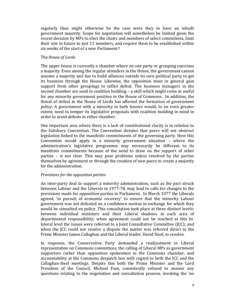regularly than might otherwise be the case were they to have an inbuilt government majority. Scope for negotiation will nonetheless be limited given the recent decision by MPs to elect the chairs and members of select committees, limit their size in future to just 11 members, and require them to be established within six weeks of the start of a new Parliament.<sup>8</sup>

## Th*e House of Lords*

The upper house is currently a chamber where no one party or grouping exercises a majority. Even among the regular attenders in the House, the government cannot assume a majority and has to build alliances outside its own political party to get its business through the House. Likewise, the opposition must in general gain support from other groupings to inflict defeat. The business managers in the second chamber are used to coalition building – a skill which might come in useful for any minority government position in the House of Commons. In addition, the threat of defeat in the House of Lords has affected the formation of government policy. A government with a minority in both houses would, to an even greater extent, need to temper its legislative proposals with coalition building in mind in order to avoid defeats in either chamber.

One important area where there is a lack of constitutional clarity is in relation to the Salisbury Convention. The Convention dictates that peers will not obstruct legislation linked to the manifesto commitments of the governing party. How this Convention would apply in a minority government situation – where the administration's legislative programme may necessarily be different to its manifesto commitments because of the need to draw on the support of other parties – is not clear. This may pose problems unless resolved by the parties themselves by agreement or through the creation of new peers to create a majority for the administration.

# *Provisions for the opposition parties*

An inter-party deal to support a minority administration, such as the pact struck between Labour and the Liberals in 1977‐78, may lead to calls for changes to the provisions made for opposition parties in Parliament. In March 1977 the Liberals agreed, 'in pursuit of economic recovery' to ensure that the minority Labour government was not defeated on a confidence motion in exchange for which they would be consulted on policy. This consultation took place at three distinct levels: between individual ministers and their Liberal shadows in each area of departmental responsibility; when agreement could not be reached at this bilateral level the issues were referred to a Joint Consultative Committee (JCC); and when the **JCC** could not resolve a dispute the matter was referred direct to the Prime Minister James Callaghan and the Liberal leader, David Steel, to resolve.

In response, the Conservative Party demanded a readjustment in Liberal representation on Commons committees, the calling of Liberal MPs as government supporters rather than opposition spokesmen in the Commons chamber, and accountability at the Commons despatch box with regard to both the JCC and the Callaghan‐Steel meetings. Despite this both the Prime Minister and the Lord President of the Council, Michael Foot, consistently refused to answer any questions relating to the negotiation and consultation process, invoking the 'no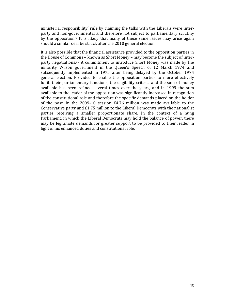ministerial responsibility' rule by claiming the talks with the Liberals were interparty and non‐governmental and therefore not subject to parliamentary scrutiny by the opposition.<sup>9</sup> It is likely that many of these same issues may arise again should a similar deal be struck after the 2010 general election.

It is also possible that the financial assistance provided to the opposition parties in the House of Commons – known as Short Money – may become the subject of inter‐ party negotiations.10 A commitment to introduce Short Money was made by the minority Wilson government in the Queen's Speech of 12 March 1974 and subsequently implemented in 1975 after being delayed by the October 1974 general election. Provided to enable the opposition parties to more effectively fulfill their parliamentary functions, the eligibility criteria and the sum of money available has been refined several times over the years, and in 1999 the sum available to the leader of the opposition was significantly increased in recognition of the constitutional role and therefore the specific demands placed on the holder of the post. In the  $2009-10$  session  $E4.76$  million was made available to the Conservative party and  $E1.75$  million to the Liberal Democrats with the nationalist parties receiving a smaller proportionate share. In the context of a hung Parliament, in which the Liberal Democrats may hold the balance of power, there may be legitimate demands for greater support to be provided to their leader in light of his enhanced duties and constitutional role.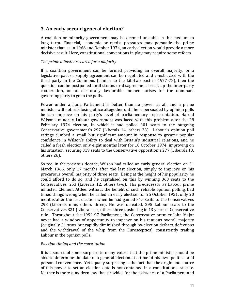# **3. An early second general election?**

A coalition or minority government may be deemed unstable in the medium to long term. Financial, economic or media pressures may persuade the prime minister that, as in 1966 and October 1974, an early election would provide a more decisive result. Here, constitutional conventions in play may require some reform.

# *The prime minister's search for a majority*

If a coalition government can be formed providing an overall majority, or a legislative pact or supply agreement can be negotiated and constructed with the third party in the Commons (similar to the Lib‐Lab pact in 1977‐78), then the question can be postponed until strains or disagreement break up the inter‐party cooperation, or an electorally favourable moment arises for the dominant governing party to go to the polls.

Power under a hung Parliament is better than no power at all, and a prime minister will not risk losing office altogether until he is persuaded by opinion polls he can improve on his party's level of parliamentary representation. Harold Wilson's minority Labour government was faced with this problem after the 28 February 1974 election, in which it had polled 301 seats to the outgoing Conservative government's 297 (Liberals 14, others 23). Labour's opinion poll ratings climbed a small but significant amount in response to greater popular confidence in Wilson's ability to deal with Britain's industrial relations, and he called a fresh election only eight months later for 10 October 1974, improving on his situation, securing 319 seats to the Conservative opposition's 277 (Liberals 13, others 26).

So too, in the previous decade, Wilson had called an early general election on 31 March 1966, only 17 months after the last election, simply to improve on his precarious overall majority of three seats. Being at the height of his popularity he could afford to do so, and he capitalised on this by winning 363 seats to the Conservatives' 253 (Liberals 12, others two). His predecessor as Labour prime minister, Clement Attlee, without the benefit of such reliable opinion polling, had timed things wrong when he called an early election for 25 October 1951, only 20 months after the last election when he had gained 315 seats to the Conservatives 298 (Liberals nine, others three). He was defeated, 295 Labour seats to the Conservatives 321 (Liberals six, others three), ushering in 13 years of Conservative rule. Throughout the 1992‐97 Parliament, the Conservative premier John Major never had a window of opportunity to improve on his tenuous overall majority (originally 21 seats but rapidly diminished through by‐election defeats, defections and the withdrawal of the whip from the Eurosceptics), consistently trailing Labour in the opinion polls.

#### *Election timing and the constitution*

It is a source of some surprise to many voters that the prime minister should be able to determine the date of a general election at a time of his own political and personal convenience. Yet equally surprising is the fact that the origin and source of this power to set an election date is not contained in a constitutional statute. Neither is there a modern law that provides for the existence of a Parliament and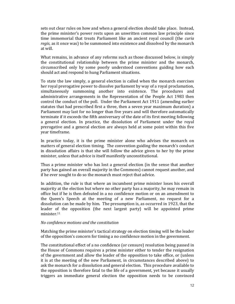sets out clear rules on how and when a general election should take place. Instead, the prime minister's power rests upon an unwritten common law principle since time immemorial that treats Parliament like an ancient royal council (the *curia regis*, as it once was) to be summoned into existence and dissolved by the monarch at will.

What remains, in advance of any reforms such as those discussed below, is simply the constitutional relationship between the prime minister and the monarch, circumscribed only by some poorly understood conventions guiding how each should act and respond to hung Parliament situations.

To state the law simply, a general election is called when the monarch exercises her royal prerogative power to dissolve parliament by way of a royal proclamation, simultaneously summoning another into existence. The procedures and administrative arrangements in the Representation of the People Act 1983 then control the conduct of the poll. Under the Parliament Act 1911 (amending earlier statutes that had prescribed first a three, then a seven year maximum duration) a Parliament may last for no longer than five years and will therefore automatically terminate if it exceeds the fifth anniversary of the date of its first meeting following a general election. In practice, the dissolution of Parliament under the royal prerogative and a general election are always held at some point within this five year timeframe.

In practice today, it is the prime minister alone who advises the monarch on matters of general election timing. The convention guiding the monarch's conduct in dissolution affairs is that she will follow the advice given to her by the prime minister, unless that advice is itself manifestly unconstitutional.

Thus a prime minister who has lost a general election (in the sense that another party has gained an overall majority in the Commons) cannot request another, and if he ever sought to do so the monarch must reject that advice.

In addition, the rule is that where an incumbent prime minister loses his overall majority at the election but where no other party has a majority, he may remain in office but if he is then defeated in a no confidence motion or on an amendment to the Queen's Speech at the meeting of a new Parliament, no request for a dissolution can be made by him. The presumption is, as occurred in 1923, that the leader of the opposition (the next largest party) will be appointed prime minister.11

## *No confidence motions and the constitution*

Matching the prime minister's tactical strategy on election timing will be the leader of the opposition's concern for timing a no confidence motion in the government.

The constitutional effect of a no confidence (or censure) resolution being passed in the House of Commons requires a prime minister either to tender the resignation of the government and allow the leader of the opposition to take office, or (unless it is at the meeting of the new Parliament, in circumstances described above) to ask the monarch for a dissolution and general election. This procedure available to the opposition is therefore fatal to the life of a government, yet because it usually triggers an immediate general election the opposition needs to be convinced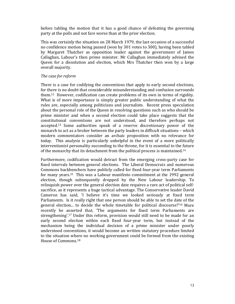before tabling the motion that it has a good chance of defeating the governing party at the polls and not fare worse than at the prior election.

This was certainly the situation on 28 March 1979, the last occasion of a successful no confidence motion being passed (won by 301 votes to 300), having been tabled by Margaret Thatcher as opposition leader against the government of James Callaghan, Labour's then prime minister. Mr Callaghan immediately advised the Queen for a dissolution and election, which Mrs Thatcher then won by a large overall majority.

## *The case for reform*

There is a case for codifying the conventions that apply to early second elections, for there is no doubt that considerable misunderstanding and confusion surrounds them.12 However, codification can create problems of its own in terms of rigidity. What is of more importance is simply greater public understanding of what the rules are, especially among politicians and journalists. Recent press speculation about the personal role of the Queen in resolving questions such as who should be prime minister and when a second election could take place suggests that the constitutional conventions are not understood, and therefore perhaps not accepted.<sup>13</sup> Some authorities speak of a reserve discretionary power of the monarch to act as a broker between the party leaders in difficult situations – which modern commentators consider an archaic proposition with no relevance for today. This analysis is particularly unhelpful in the event of a more politically interventionist personality succeeding to the throne, for it is essential to the future of the monarchy that its detachment from the political process is maintained.14

Furthermore, codification would detract from the emerging cross-party case for fixed intervals between general elections. The Liberal Democrats and numerous Commons backbenchers have publicly called for fixed four‐year term Parliaments for many years.15 This was a Labour manifesto commitment at the 1992 general election, though subsequently dropped by the New Labour leadership. To relinquish power over the general election date requires a rare act of political self‐ sacrifice, as it represents a huge tactical advantage. The Conservative leader David Cameron has said, 'I believe it's time we looked seriously at fixed term Parliaments. Is it really right that one person should be able to set the date of the general election... to decide the whole timetable for political discourse?'16 More recently he asserted that, 'The arguments for fixed term Parliaments are strengthening'.17 Under this reform, provision would still need to be made for an early second election within each fixed four-year term, but instead of the mechanism being the individual decision of a prime minister under poorly understood conventions, it would become an written statutory procedure limited to the situation where no working government could be formed from the existing House of Commons.18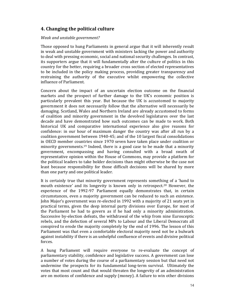# **4. Changing the political culture**

## *Weak and unstable government?*

Those opposed to hung Parliaments in general argue that it will inherently result in weak and unstable government with ministers lacking the power and authority to deal with pressing economic, social and national security challenges. In contrast, its supporters argue that it will fundamentally alter the culture of politics in this country for the better, requiring a broader cross section of elected representatives to be included in the policy making process, providing greater transparency and restraining the authority of the executive whilst empowering the collective influence of Parliament.

Concern about the impact of an uncertain election outcome on the financial markets and the prospect of further damage to the UK's economic position is particularly prevalent this year. But because the UK is accustomed to majority government it does not necessarily follow that the alternative will necessarily be damaging. Scotland, Wales and Northern Ireland are already accustomed to forms of coalition and minority government in the devolved legislatures over the last decade and have demonstrated how such outcomes can be made to work. Both historical UK and comparative international experience also give reasons for confidence: in our hour of maximum danger the country was after all run by a coalition government between 1940‐45; and of the 10 largest fiscal consolidations in OECD member countries since 1970 seven have taken place under coalition or minority governments.<sup>19</sup> Indeed, there is a good case to be made that a minority government, encompassing and having consulted with a broad swath of representative opinion within the House of Commons, may provide a platform for the political leaders to take bolder decisions than might otherwise be the case not least because responsibility for those difficult decisions will be shared by more than one party and one political leader.

It is certainly true that minority government represents something of a 'hand to mouth existence' and its longevity is known only in retrospect.<sup>20</sup> However, the experience of the 1992-97 Parliament equally demonstrates that, in certain circumstances, even a majority government can be reduced to such an existence. John Major's government was re‐elected in 1992 with a majority of 21 seats yet in practical terms, given the deep internal party divisions over Europe, for most of the Parliament he had to govern as if he had only a minority administration. Successive by‐election defeats, the withdrawal of the whip from nine Eurosceptic rebels, and the defection of several MPs to Labour and the Liberal Democrats all conspired to erode the majority completely by the end of 1996. The lesson of this Parliament was that even a comfortable electoral majority need not be a bulwark against instability if there is an unhelpful confluence of events and divisive political forces.

A hung Parliament will require everyone to re‐evaluate the concept of parliamentary stability, confidence and legislative success. A government can lose a number of votes during the course of a parliamentary session but that need not undermine the prospects for its fundamental long-term survival. Ultimately the votes that most count and that would threaten the longevity of an administration are on motions of confidence and supply (money). A failure to win other divisions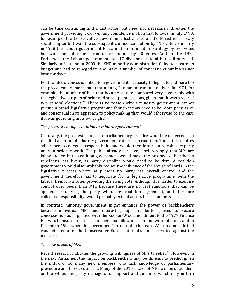can be time consuming and a distraction but need not necessarily threaten the government providing it can win any confidence motion that follows. In July 1993, for example, the Conservative government lost a vote on the Maastricht Treaty social chapter but won the subsequent confidence motion by 110 votes. Similarly in 1978 the Labour government lost a motion on inflation strategy by two votes but won the subsequent confidence motion by 10 votes. And in the 1974 Parliament the Labour government lost 17 divisions in total but still survived. Similarly in Scotland in 2009 the SNP minority administration failed to secure its budget and had to renegotiate and make a number of concessions but it was not brought down.

Political decisiveness is linked to a government's capacity to legislate and here too the precedents demonstrate that a hung Parliament can still deliver. In 1974, for example, the number of bills that became statute compared very favourably with the legislative outputs of prior and subsequent sessions, given that it was a year of two general elections.<sup>21</sup> There is no reason why a minority government cannot pursue a broad legislative programme though it may need to be more persuasive and consensual in its approach to policy making than would otherwise be the case if it was governing in its own right.

## *The greatest change: coalition or minority government?*

Culturally, the greatest changes in parliamentary practice would be delivered as a result of a period of minority government rather than coalition. The latter requires adherence to collective responsibility and would therefore require cohesive party unity in order to work. The public already perceive, albeit wrongly, that MPs are lobby fodder, but a coalition government would make the prospect of backbench rebellions less likely, as party discipline would need to be firm. A coalition government would also probably reduce the influence of the House of Lords in the legislative process where at present no party has overall control and the government therefore has to negotiate for its legislative programme, with the Liberal Democrats often providing the swing vote. Although it is harder to exercise control over peers than MPs because there are no real sanctions that can be applied for defying the party whip, any coalition agreement, and therefore collective responsibility, would probably extend across both chambers.

In contrast, minority government might enhance the power of backbenchers because individual MPs and interest groups are better placed to secure concessions – as happened with the Rooker‐Wise amendment to the 1977 Finance Bill which ensured increases for personal allowances in line with inflation, and in December 1994 when the government's proposal to increase VAT on domestic fuel was defeated after the Conservative Eurosceptics abstained or voted against the measure.

#### *The new intake of MPs*

Recent research indicates the growing willingness of MPs to rebel.22 However, in the next Parliament the impact on backbenchers may be difficult to predict given the influx of so many new members who lack knowledge of parliamentary procedure and how to utilise it. Many of the 2010 intake of MPs will be dependent on the whips and party managers for support and guidance which may in turn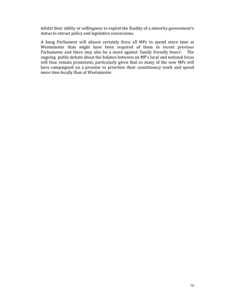inhibit their ability or willingness to exploit the fluidity of a minority government's status to extract policy and legislative concessions.

A hung Parliament will almost certainly force all MPs to spend more time at Westminster than might have been required of them in recent previous Parliaments and there may also be a move against 'family friendly hours'. The ongoing public debate about the balance between an MP's local and national focus will thus remain prominent, particularly given that so many of the new MPs will have campaigned on a promise to prioritise their constituency work and spend more time locally than at Westminster.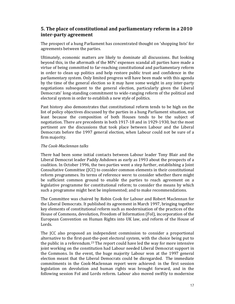# **5. The place of constitutional and parliamentary reform in a 2010 interparty agreement**

The prospect of a hung Parliament has concentrated thought on 'shopping lists' for agreements between the parties.

Ultimately, economic matters are likely to dominate all discussions. But looking beyond this, in the aftermath of the MPs' expenses scandal all parties have made a virtue of being committed to far‐reaching constitutional and parliamentary reform in order to clean up politics and help restore public trust and confidence in the parliamentary system. Only limited progress will have been made with this agenda by the time of the general election so it may have some weight in any inter‐party negotiations subsequent to the general election, particularly given the Liberal Democrats' long-standing commitment to wide-ranging reform of the political and electoral system in order to establish a new style of politics.

Past history also demonstrates that constitutional reform tends to be high on the list of policy objectives discussed by the parties in a hung Parliament situation, not least because the composition of both Houses tends to be the subject of negotiation. There are precedents in both 1917‐18 and in 1929‐1930, but the most pertinent are the discussions that took place between Labour and the Liberal Democrats before the 1997 general election, when Labour could not be sure of a firm majority.

# *The CookMaclennan talks*

There had been some initial contacts between Labour leader Tony Blair and the Liberal Democrat leader Paddy Ashdown as early as 1993 about the prospects of a coalition. In October 1996, the two parties went a step further, establishing a Joint Consultative Committee (JCC) to consider common elements in their constitutional reform programmes. Its terms of reference were: to consider whether there might be sufficient common ground to enable the parties to reach agreement on a legislative programme for constitutional reform; to consider the means by which such a programme might best be implemented; and to make recommendations.

The Committee was chaired by Robin Cook for Labour and Robert Maclennan for the Liberal Democrats. It published its agreement in March 1997, bringing together key elements of constitutional reform such as modernisation of the practices of the House of Commons, devolution, Freedom of Information (FoI), incorporation of the European Convention on Human Rights into UK law, and reform of the House of Lords.

The ICC also proposed an independent commission to consider a proportional alternative to the first‐past‐the‐post electoral system, with the choice being put to the public in a referendum.23 The report could have led the way for more intensive joint working on the constitution had Labour needed Liberal Democrat support in the Commons. In the event, the huge majority Labour won at the 1997 general election meant that the Liberal Democrats could be disregarded. The immediate commitments in the Cook‐Maclennan report were achieved: in the first session legislation on devolution and human rights was brought forward, and in the following session FoI and Lords reform. Labour also moved swiftly to modernise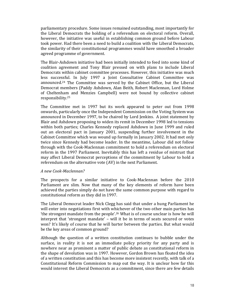parliamentary procedure. Some issues remained outstanding, most importantly for the Liberal Democrats the holding of a referendum on electoral reform. Overall, however, the initiative was useful in establishing common ground before Labour took power. Had there been a need to build a coalition with the Liberal Democrats, the similarity of their constitutional programmes would have smoothed a broader agreed programme of government.

The Blair‐Ashdown initiative had been initially intended to feed into some kind of coalition agreement and Tony Blair pressed on with plans to include Liberal Democrats within cabinet committee processes. However, this initiative was much less successful. In July 1997 a Joint Consultative Cabinet Committee was announced.24 The Committee was served by the Cabinet Office, but the Liberal Democrat members (Paddy Ashdown, Alan Beith, Robert Maclennan, Lord Holme of Cheltenham and Menzies Campbell) were not bound by collective cabinet responsibility.25

The Committee met in 1997 but its work appeared to peter out from 1998 onwards, particularly once the Independent Commission on the Voting System was announced in December 1997, to be chaired by Lord Jenkins. A joint statement by Blair and Ashdown proposing to widen its remit in December 1998 led to tensions within both parties; Charles Kennedy replaced Ashdown in June 1999 and ruled out an electoral pact in January 2001, suspending further involvement in the Cabinet Committee which was wound up formally in January 2002. It had met only twice since Kennedy had become leader. In the meantime, Labour did not follow through with the Cook‐Maclennan commitment to hold a referendum on electoral reform in the 1997 Parliament. Inevitably this has left a residue of mistrust that may affect Liberal Democrat perceptions of the commitment by Labour to hold a referendum on the alternative vote (AV) in the next Parliament.

#### *A new CookMaclennan?*

The prospects for a similar initiative to Cook‐Maclennan before the 2010 Parliament are slim. Now that many of the key elements of reform have been achieved the parties simply do not have the same common purpose with regard to constitutional reform as they did in 1997.

The Liberal Democrat leader Nick Clegg has said that under a hung Parliament he will enter into negotiations first with whichever of the two other main parties has 'the strongest mandate from the people'.<sup>26</sup> What is of course unclear is how he will interpret that 'strongest mandate' – will it be in terms of seats secured or votes won? It's likely of course that he will barter between the parties. But what would be the key areas of common ground?

Although the question of a written constitution continues to bubble under the surface, in reality it is not an immediate policy priority for any party and is nowhere near as prominent a matter of public debate as constitutional reform in the shape of devolution was in 1997. However, Gordon Brown has floated the idea of a written constitution and this has become more insistent recently, with talk of a Constitutional Reform Commission to map out the way. It is unclear how far this would interest the Liberal Democrats as a commitment, since there are few details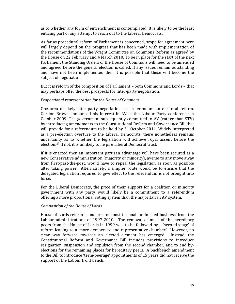as to whether any form of entrenchment is contemplated. It is likely to be the least enticing part of any attempt to reach out to the Liberal Democrats.

As far as procedural reform of Parliament is concerned, scope for agreement here will largely depend on the progress that has been made with implementation of the recommendations of the Wright Committee on Commons Reform as agreed by the House on 22 February and 4 March 2010. To be in place for the start of the next Parliament the Standing Orders of the House of Commons will need to be amended and agreed before the general election is called. If any issues remain outstanding and have not been implemented then it is possible that these will become the subject of negotiation.

But it is reform of the composition of Parliament – both Commons and Lords – that may perhaps offer the best prospects for inter‐party negotiation.

# *Proportional representation for the House of Commons*

One area of likely inter‐party negotiation is a referendum on electoral reform. Gordon Brown announced his interest in AV at the Labour Party conference in October 2009. The government subsequently committed to AV (rather than STV) by introducing amendments to the Constitutional Reform and Governance Bill that will provide for a referendum to be held by 31 October 2011. Widely interpreted as a pre-election overture to the Liberal Democrats, there nonetheless remains uncertainty as to whether the legislation will achieve royal assent before the election.27 If not, it is unlikely to inspire Liberal Democrat trust.

If it is enacted then an important partisan advantage will have been secured as a new Conservative administration (majority or minority), averse to any move away from first-past-the-post, would have to repeal the legislation as soon as possible after taking power. Alternatively, a simpler route would be to ensure that the delegated legislation required to give effect to the referendum is not brought into force.

For the Liberal Democrats, the price of their support for a coalition or minority government with any party would likely be a commitment to a referendum offering a more proportional voting system than the majoritarian AV system.

#### *Composition of the House of Lords*

House of Lords reform is one area of constitutional 'unfinished business' from the Labour administrations of 1997-2010. The removal of most of the hereditary peers from the House of Lords in 1999 was to be followed by a 'second stage' of reform leading to a 'more democratic and representative chamber'. However, no clear way forward towards an elected element has emerged. Instead, the Constitutional Reform and Governance Bill includes provisions to introduce resignation, suspension and expulsion from the second chamber, and to end byelections for the remaining places for hereditary peers. A backbench amendment to the Bill to introduce 'term‐peerage' appointments of 15 years did not receive the support of the Labour front bench.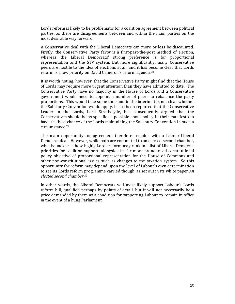Lords reform is likely to be problematic for a coalition agreement between political parties, as there are disagreements between and within the main parties on the most desirable way forward.

A Conservative deal with the Liberal Democrats can more or less be discounted. Firstly, the Conservative Party favours a first-past-the-post method of election, whereas the Liberal Democrats' strong preference is for proportional representation and the STV system. But more significantly, many Conservative peers are hostile to the idea of elections at all, and it has become clear that Lords reform is a low priority on David Cameron's reform agenda.<sup>28</sup>

It is worth noting, however, that the Conservative Party might find that the House of Lords may require more urgent attention than they have admitted to date. The Conservative Party have no majority in the House of Lords and a Conservative government would need to appoint a number of peers to rebalance the party proportions. This would take some time and in the interim it is not clear whether the Salisbury Convention would apply. It has been reported that the Conservative Leader in the Lords, Lord Strathclyde, has consequently argued that the Conservatives should be as specific as possible about policy in their manifesto to have the best chance of the Lords maintaining the Salisbury Convention in such a circumstance.29

The main opportunity for agreement therefore remains with a Labour-Liberal Democrat deal. However, while both are committed to an elected second chamber, what is unclear is how highly Lords reform may rank in a list of Liberal Democrat priorities for coalition support, alongside its far more pronounced constitutional policy objective of proportional representation for the House of Commons and other non-constitutional issues such as changes to the taxation system. So this opportunity for reform may depend upon the level of Labour's own determination to see its Lords reform programme carried though, as set out in its white paper *An elected second chamber*. 30

In other words, the Liberal Democrats will most likely support Labour's Lords reform bill, qualified perhaps by points of detail, but it will not necessarily be a price demanded by them as a condition for supporting Labour to remain in office in the event of a hung Parliament.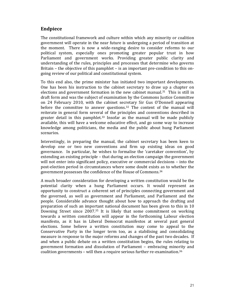# **Endpiece**

The constitutional framework and culture within which any minority or coalition government will operate in the near future is undergoing a period of transition at the moment. There is now a wide-ranging desire to consider reforms to our political system, especially ones promoting greater popular trust in how Parliament and government works. Providing greater public clarity and understanding of the rules, principles and processes that determine who governs Britain – the objective of this pamphlet – is an important pre-condition to this ongoing review of our political and constitutional system.

To this end also, the prime minister has initiated two important developments. One has been his instruction to the cabinet secretary to draw up a chapter on elections and government formation in the new cabinet manual.<sup>31</sup> This is still in draft form and was the subject of examination by the Commons Justice Committee on 24 February 2010, with the cabinet secretary Sir Gus O'Donnell appearing before the committee to answer questions.<sup>32</sup> The content of the manual will reiterate in general form several of the principles and conventions described in greater detail in this pamphlet.<sup>33</sup> Insofar as the manual will be made publicly available, this will have a welcome educative effect, and go some way to increase knowledge among politicians, the media and the public about hung Parliament scenarios.

Interestingly, in preparing the manual, the cabinet secretary has been keen to develop one or two new conventions and firm up existing ideas on good governance. In particular, he wishes to formalise the 'caretaker convention', by extending an existing principle – that during an election campaign the government will not enter into significant policy, executive or commercial decisions – into the post‐election period in circumstances where some doubt exists as to whether the government possesses the confidence of the House of Commons.34

A much broader consideration for developing a written constitution would be the potential clarity when a hung Parliament occurs. It would represent an opportunity to construct a coherent set of principles connecting government and the governed, as well as government and Parliament, and Parliament and the people. Considerable advance thought about how to approach the drafting and preparation of such an important national document has been given to this in 10 Downing Street since 2007.35 It is likely that some commitment on working towards a written constitution will appear in the forthcoming Labour election manifesto, as it has in Liberal Democrat manifestos at several past general elections. Some believe a written constitution may come to appeal to the Conservative Party in the longer term too, as a stabilising and consolidating measure in response to the major reforms and changes of the past two decades. If and when a public debate on a written constitution begins, the rules relating to government formation and dissolution of Parliament – embracing minority and coalition governments – will then a require serious further re‐examination.36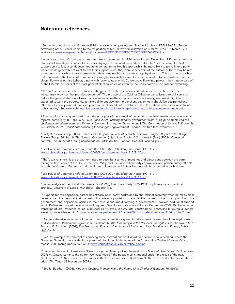# **Notes and references**

 $^2$  In contrast to Heath's four day attempt to form a government in 1974, following the December 1923 general election Stanley Baldwin stayed in office for six weeks trying to form an administration before he 'met' Parliament to test his support only to lose a confidence motion. In general terms Heath's approach is the most likely to prevail, for a party leader would generally not want to test their support unless they were very certain of the outcome. There may be rare exceptions to this when they determine that their party might gain an advantage by doing so. This was the case when Baldwin went to the House of Commons, knowing he was likely to lose, because he wanted to demonstrate that the Liberal Party was putting Labour, a party with fewer seats than his Conservative Party into power – the strategy paid off as the Liberals lost seats at the 1924 general election which was won by the Conservatives. The case for extending

3 'Purdah' is the period of time from when the general election is announced until after the election. It is also increasingly known as the 'pre-election period'. The preface of the Cabinet Office guidance issued to civil servants before the general election advises that 'decisions on matters of policy on which a new government might be expected to want the opportunity to take a different view from the present government should be postponed until after the election, provided that such postponement would not be detrimental to the national interest or wasteful of public money'. See www.cabinetoffice.gov.uk/media/cabinetoffice/propriety\_and\_ethics/assets/electguide.pdf.

<sup>4</sup> The case for clarifying and setting out the principles of the 'caretaker' convention has been made recently in several reports, particularly, R. Hazell & A. Paun (Eds.) (2009), Making minority government work: hung parliaments and the challenges for Westminster and Whitehall (London: Institute for Government & The Constitution Unit), and P. Riddell & C. Haddon (2009), Transitions: preparing for changes of government (London: Institute for Government).

<sup>5</sup> Budget Review Group (2006), Choices for a Purpose: Review of Scottish Executive Budgets, Report of the Budget Review Group (Edinburgh: The Scottish Government) cited in A. Brazier & S. Kalitowski (Eds.) (2008), No overall control? The impact of a 'hung parliament' on British politics, (London: Hansard Society), p.79.

6 See House of Commons Reform Committee (2008-09), Rebuilding the House, HC 1117. www.publications.parliament.uk/pa/cm200809/cmselect/cmrefhoc/1117/1117.pdf.

 $^7$  The 'usual channels' is the broad term used to describe a series of meetings and discussions between the party managers (the Leader of the House, the Chief Whip and their opposition party equivalents) and parliamentary officials in both the House of Commons and the House of Lords to decide how business will be arranged in each House.

<sup>8</sup> See House of Commons Reform Committee (2008-09), Rebuilding the House, HC 1117. www.publications.parliament.uk/pa/cm200809/cmselect/cmrefhoc/1117/1117.pdf.

9 For an analysis of the Lib-Lab Pact see R. Fox (1999), The Liberal Party 1970-1983: Its philosophy and political strategy, (University of Leeds: PhD Thesis), chapter five.

<sup>10</sup> Support for the opposition parties has already been partly addressed by the cabinet secretary when he made clear recently that the new cabinet manual will contain a provision to enable the cabinet office to support both the government and opposition parties in their discussions about forming a government. However, additional support within Parliament may still be sought and required. See House of Commons Justice Committee (2009-10), Uncorrected transcript of oral evidence to be published as HC396-i, Inquiry into constitutional processes following a general election, oral evidence, Q.87. www.publications.parliament.uk/pa/cm200910/cmselect/cmjust/uc396-i/uc39602.htm).

11 A comprehensive statement of the constitutional conventions governing the monarch's exercise of the legal power of dissolution of Parliament is given in R. Blackburn (2004), Monarchy and the Personal Prerogatives, Public Law, p.557. See also R. Blackburn (2009), The Prerogative Power of Dissolution of Parliament: Law, Practice, and Reform, Public Law, p.766.

 $12$  See, for example, the attempt at codifying some conventions on dissolution practice in New Zealand, where the Governor General exercises the legal power of dissolution in the name of the Crown. New Zealand Cabinet Office Manual 2008 (paragraphs 6.56-6.58) at www.cabinetmanual.cabinetoffice.govt.nz.

<sup>13</sup> For example, see, D. Finkelstein, 'How to stop the Queen picking the next Prime Minister', The Times, 25 November 2009; M. Oaten, 'Letter to the editor: We must head off the possible constitutional crisis if the result of the next election is close', The Times, 27 November 2009. (In response see R. Blackburn, 'Letter to the editor: No constitutional crisis', The Times, 28 November 2009.)

<sup>14</sup> See R. Blackburn (2006), King and Country: Monarchy and the Future King Charles III (London: Politico's).

<sup>1</sup> For an account of the post February 1974 general election process see, National Archives, PREM 16/231, Robert Armstrong note, 'Events leading to the resignation of Mr Heath's administration on 4 March 1974', 16 March 1974, available at www.margaretthatcher.org/document/E39D78DE7FBF4C7583FDFC8F7A029D42.pdf.